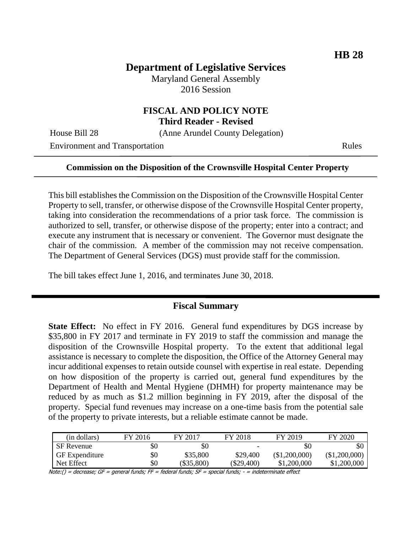# **Department of Legislative Services**

Maryland General Assembly 2016 Session

### **FISCAL AND POLICY NOTE Third Reader - Revised**

House Bill 28 (Anne Arundel County Delegation)

Environment and Transportation Rules

#### **Commission on the Disposition of the Crownsville Hospital Center Property**

This bill establishes the Commission on the Disposition of the Crownsville Hospital Center Property to sell, transfer, or otherwise dispose of the Crownsville Hospital Center property, taking into consideration the recommendations of a prior task force. The commission is authorized to sell, transfer, or otherwise dispose of the property; enter into a contract; and execute any instrument that is necessary or convenient. The Governor must designate the chair of the commission. A member of the commission may not receive compensation. The Department of General Services (DGS) must provide staff for the commission.

The bill takes effect June 1, 2016, and terminates June 30, 2018.

### **Fiscal Summary**

**State Effect:** No effect in FY 2016. General fund expenditures by DGS increase by \$35,800 in FY 2017 and terminate in FY 2019 to staff the commission and manage the disposition of the Crownsville Hospital property. To the extent that additional legal assistance is necessary to complete the disposition, the Office of the Attorney General may incur additional expenses to retain outside counsel with expertise in real estate. Depending on how disposition of the property is carried out, general fund expenditures by the Department of Health and Mental Hygiene (DHMH) for property maintenance may be reduced by as much as \$1.2 million beginning in FY 2019, after the disposal of the property. Special fund revenues may increase on a one-time basis from the potential sale of the property to private interests, but a reliable estimate cannot be made.

| (in dollars)          | FY 2016 | FY 2017    | FY 2018    | FY 2019       | FY 2020       |
|-----------------------|---------|------------|------------|---------------|---------------|
| <b>SF</b> Revenue     | \$0     | \$0        |            | \$0           | \$0           |
| <b>GF</b> Expenditure | \$0     | \$35,800   | \$29,400   | (\$1,200,000) | (\$1,200,000) |
| Net Effect            | \$0     | (\$35,800) | (\$29.400) | \$1,200,000   | \$1,200,000   |

Note:() = decrease; GF = general funds; FF = federal funds; SF = special funds; - = indeterminate effect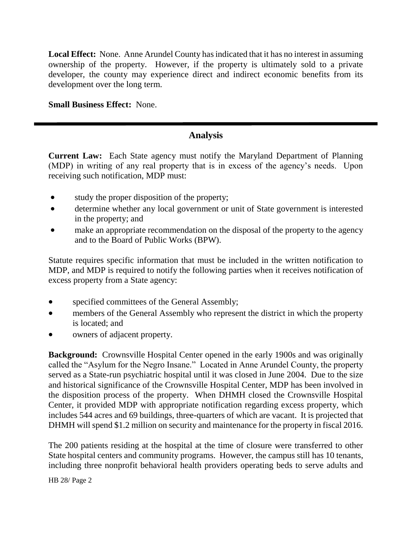**Local Effect:** None. Anne Arundel County has indicated that it has no interest in assuming ownership of the property. However, if the property is ultimately sold to a private developer, the county may experience direct and indirect economic benefits from its development over the long term.

**Small Business Effect:** None.

# **Analysis**

**Current Law:** Each State agency must notify the Maryland Department of Planning (MDP) in writing of any real property that is in excess of the agency's needs. Upon receiving such notification, MDP must:

- study the proper disposition of the property;
- determine whether any local government or unit of State government is interested in the property; and
- make an appropriate recommendation on the disposal of the property to the agency and to the Board of Public Works (BPW).

Statute requires specific information that must be included in the written notification to MDP, and MDP is required to notify the following parties when it receives notification of excess property from a State agency:

- specified committees of the General Assembly;
- members of the General Assembly who represent the district in which the property is located; and
- owners of adjacent property.

**Background:** Crownsville Hospital Center opened in the early 1900s and was originally called the "Asylum for the Negro Insane." Located in Anne Arundel County, the property served as a State-run psychiatric hospital until it was closed in June 2004. Due to the size and historical significance of the Crownsville Hospital Center, MDP has been involved in the disposition process of the property. When DHMH closed the Crownsville Hospital Center, it provided MDP with appropriate notification regarding excess property, which includes 544 acres and 69 buildings, three-quarters of which are vacant. It is projected that DHMH will spend \$1.2 million on security and maintenance for the property in fiscal 2016.

The 200 patients residing at the hospital at the time of closure were transferred to other State hospital centers and community programs. However, the campus still has 10 tenants, including three nonprofit behavioral health providers operating beds to serve adults and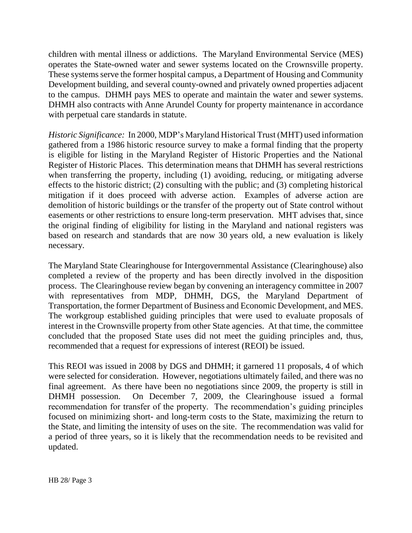children with mental illness or addictions. The Maryland Environmental Service (MES) operates the State-owned water and sewer systems located on the Crownsville property. These systems serve the former hospital campus, a Department of Housing and Community Development building, and several county-owned and privately owned properties adjacent to the campus. DHMH pays MES to operate and maintain the water and sewer systems. DHMH also contracts with Anne Arundel County for property maintenance in accordance with perpetual care standards in statute.

*Historic Significance:* In 2000, MDP's Maryland Historical Trust (MHT) used information gathered from a 1986 historic resource survey to make a formal finding that the property is eligible for listing in the Maryland Register of Historic Properties and the National Register of Historic Places. This determination means that DHMH has several restrictions when transferring the property, including (1) avoiding, reducing, or mitigating adverse effects to the historic district; (2) consulting with the public; and (3) completing historical mitigation if it does proceed with adverse action. Examples of adverse action are demolition of historic buildings or the transfer of the property out of State control without easements or other restrictions to ensure long-term preservation. MHT advises that, since the original finding of eligibility for listing in the Maryland and national registers was based on research and standards that are now 30 years old, a new evaluation is likely necessary.

The Maryland State Clearinghouse for Intergovernmental Assistance (Clearinghouse) also completed a review of the property and has been directly involved in the disposition process. The Clearinghouse review began by convening an interagency committee in 2007 with representatives from MDP, DHMH, DGS, the Maryland Department of Transportation, the former Department of Business and Economic Development, and MES. The workgroup established guiding principles that were used to evaluate proposals of interest in the Crownsville property from other State agencies. At that time, the committee concluded that the proposed State uses did not meet the guiding principles and, thus, recommended that a request for expressions of interest (REOI) be issued.

This REOI was issued in 2008 by DGS and DHMH; it garnered 11 proposals, 4 of which were selected for consideration. However, negotiations ultimately failed, and there was no final agreement. As there have been no negotiations since 2009, the property is still in DHMH possession. On December 7, 2009, the Clearinghouse issued a formal recommendation for transfer of the property. The recommendation's guiding principles focused on minimizing short- and long-term costs to the State, maximizing the return to the State, and limiting the intensity of uses on the site. The recommendation was valid for a period of three years, so it is likely that the recommendation needs to be revisited and updated.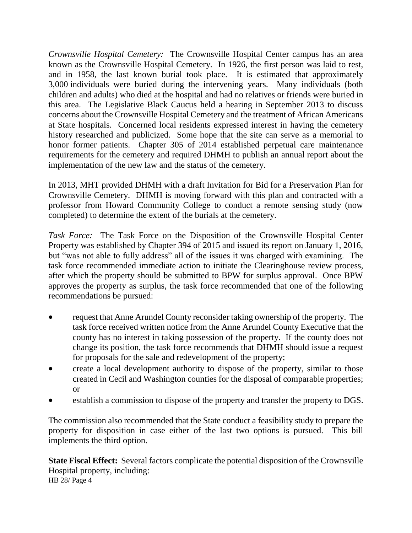*Crownsville Hospital Cemetery:* The Crownsville Hospital Center campus has an area known as the Crownsville Hospital Cemetery. In 1926, the first person was laid to rest, and in 1958, the last known burial took place. It is estimated that approximately 3,000 individuals were buried during the intervening years. Many individuals (both children and adults) who died at the hospital and had no relatives or friends were buried in this area. The Legislative Black Caucus held a hearing in September 2013 to discuss concerns about the Crownsville Hospital Cemetery and the treatment of African Americans at State hospitals. Concerned local residents expressed interest in having the cemetery history researched and publicized. Some hope that the site can serve as a memorial to honor former patients. Chapter 305 of 2014 established perpetual care maintenance requirements for the cemetery and required DHMH to publish an annual report about the implementation of the new law and the status of the cemetery.

In 2013, MHT provided DHMH with a draft Invitation for Bid for a Preservation Plan for Crownsville Cemetery. DHMH is moving forward with this plan and contracted with a professor from Howard Community College to conduct a remote sensing study (now completed) to determine the extent of the burials at the cemetery.

*Task Force:* The Task Force on the Disposition of the Crownsville Hospital Center Property was established by Chapter 394 of 2015 and issued its report on January 1, 2016, but "was not able to fully address" all of the issues it was charged with examining. The task force recommended immediate action to initiate the Clearinghouse review process, after which the property should be submitted to BPW for surplus approval. Once BPW approves the property as surplus, the task force recommended that one of the following recommendations be pursued:

- request that Anne Arundel County reconsider taking ownership of the property. The task force received written notice from the Anne Arundel County Executive that the county has no interest in taking possession of the property. If the county does not change its position, the task force recommends that DHMH should issue a request for proposals for the sale and redevelopment of the property;
- create a local development authority to dispose of the property, similar to those created in Cecil and Washington counties for the disposal of comparable properties; or
- establish a commission to dispose of the property and transfer the property to DGS.

The commission also recommended that the State conduct a feasibility study to prepare the property for disposition in case either of the last two options is pursued. This bill implements the third option.

HB 28/ Page 4 **State Fiscal Effect:** Several factors complicate the potential disposition of the Crownsville Hospital property, including: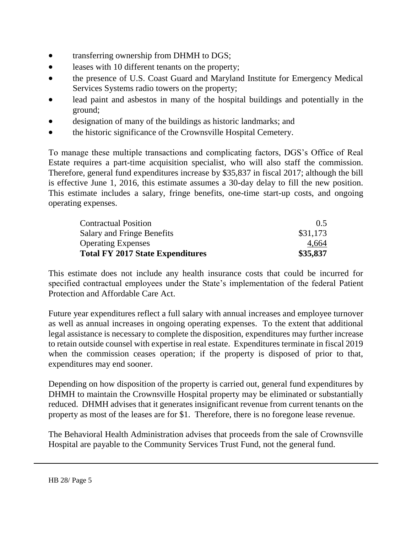- transferring ownership from DHMH to DGS;
- **•** leases with 10 different tenants on the property;
- the presence of U.S. Coast Guard and Maryland Institute for Emergency Medical Services Systems radio towers on the property;
- lead paint and asbestos in many of the hospital buildings and potentially in the ground;
- designation of many of the buildings as historic landmarks; and
- the historic significance of the Crownsville Hospital Cemetery.

To manage these multiple transactions and complicating factors, DGS's Office of Real Estate requires a part-time acquisition specialist, who will also staff the commission. Therefore, general fund expenditures increase by \$35,837 in fiscal 2017; although the bill is effective June 1, 2016, this estimate assumes a 30-day delay to fill the new position. This estimate includes a salary, fringe benefits, one-time start-up costs, and ongoing operating expenses.

| <b>Contractual Position</b>             | 0.5      |  |
|-----------------------------------------|----------|--|
| Salary and Fringe Benefits              | \$31,173 |  |
| <b>Operating Expenses</b>               | 4,664    |  |
| <b>Total FY 2017 State Expenditures</b> | \$35,837 |  |

This estimate does not include any health insurance costs that could be incurred for specified contractual employees under the State's implementation of the federal Patient Protection and Affordable Care Act.

Future year expenditures reflect a full salary with annual increases and employee turnover as well as annual increases in ongoing operating expenses. To the extent that additional legal assistance is necessary to complete the disposition, expenditures may further increase to retain outside counsel with expertise in real estate. Expenditures terminate in fiscal 2019 when the commission ceases operation; if the property is disposed of prior to that, expenditures may end sooner.

Depending on how disposition of the property is carried out, general fund expenditures by DHMH to maintain the Crownsville Hospital property may be eliminated or substantially reduced. DHMH advises that it generates insignificant revenue from current tenants on the property as most of the leases are for \$1. Therefore, there is no foregone lease revenue.

The Behavioral Health Administration advises that proceeds from the sale of Crownsville Hospital are payable to the Community Services Trust Fund, not the general fund.